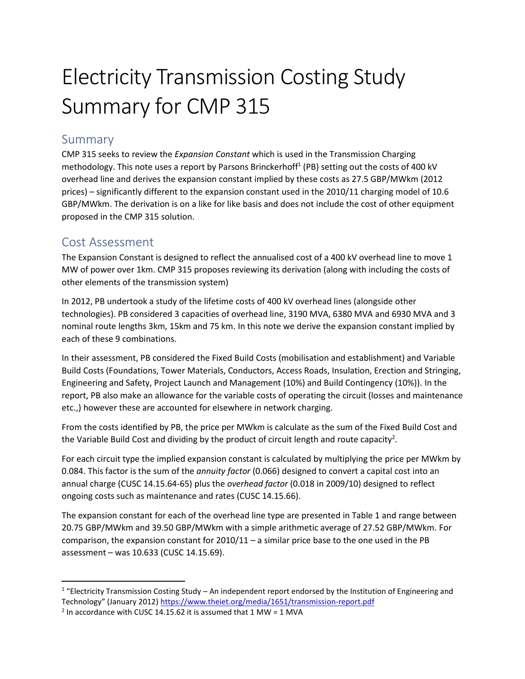## Electricity Transmission Costing Study Summary for CMP 315

## Summary

CMP 315 seeks to review the *Expansion Constant* which is used in the Transmission Charging methodology. This note uses a report by Parsons Brinckerhoff<sup>1</sup> (PB) setting out the costs of 400 kV overhead line and derives the expansion constant implied by these costs as 27.5 GBP/MWkm (2012 prices) – significantly different to the expansion constant used in the 2010/11 charging model of 10.6 GBP/MWkm. The derivation is on a like for like basis and does not include the cost of other equipment proposed in the CMP 315 solution.

## Cost Assessment

 $\overline{\phantom{a}}$ 

The Expansion Constant is designed to reflect the annualised cost of a 400 kV overhead line to move 1 MW of power over 1km. CMP 315 proposes reviewing its derivation (along with including the costs of other elements of the transmission system)

In 2012, PB undertook a study of the lifetime costs of 400 kV overhead lines (alongside other technologies). PB considered 3 capacities of overhead line, 3190 MVA, 6380 MVA and 6930 MVA and 3 nominal route lengths 3km, 15km and 75 km. In this note we derive the expansion constant implied by each of these 9 combinations.

In their assessment, PB considered the Fixed Build Costs (mobilisation and establishment) and Variable Build Costs (Foundations, Tower Materials, Conductors, Access Roads, Insulation, Erection and Stringing, Engineering and Safety, Project Launch and Management (10%) and Build Contingency (10%)). In the report, PB also make an allowance for the variable costs of operating the circuit (losses and maintenance etc.,) however these are accounted for elsewhere in network charging.

From the costs identified by PB, the price per MWkm is calculate as the sum of the Fixed Build Cost and the Variable Build Cost and dividing by the product of circuit length and route capacity<sup>2</sup>.

For each circuit type the implied expansion constant is calculated by multiplying the price per MWkm by 0.084. This factor is the sum of the *annuity factor* (0.066) designed to convert a capital cost into an annual charge (CUSC 14.15.64-65) plus the *overhead factor* (0.018 in 2009/10) designed to reflect ongoing costs such as maintenance and rates (CUSC 14.15.66).

The expansion constant for each of the overhead line type are presented in Table 1 and range between 20.75 GBP/MWkm and 39.50 GBP/MWkm with a simple arithmetic average of 27.52 GBP/MWkm. For comparison, the expansion constant for 2010/11 – a similar price base to the one used in the PB assessment – was 10.633 (CUSC 14.15.69).

 $1$  "Electricity Transmission Costing Study – An independent report endorsed by the Institution of Engineering and Technology" (January 2012) <https://www.theiet.org/media/1651/transmission-report.pdf>

<sup>&</sup>lt;sup>2</sup> In accordance with CUSC 14.15.62 it is assumed that 1 MW = 1 MVA